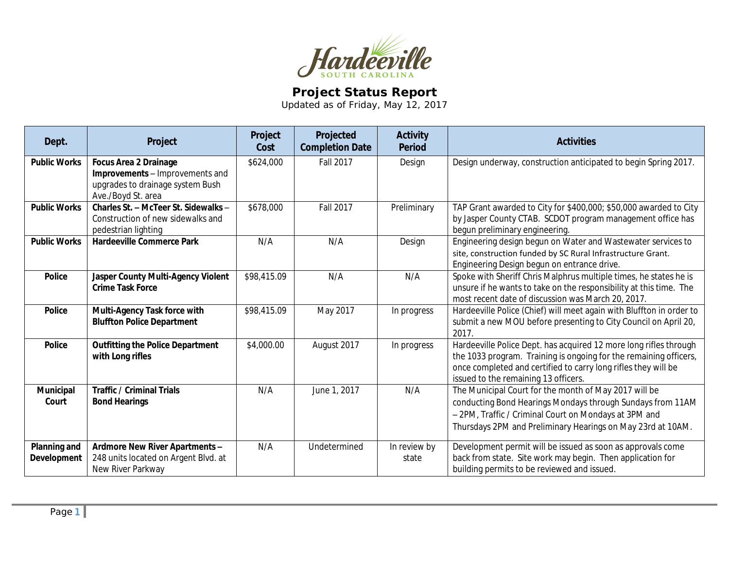

## **Project Status Report**

Updated as of Friday, May 12, 2017

| Dept.                       | Project                                                                                                                   | Project<br>Cost | Projected<br><b>Completion Date</b> | <b>Activity</b><br><b>Period</b> | <b>Activities</b>                                                                                                                                                                                                                                |
|-----------------------------|---------------------------------------------------------------------------------------------------------------------------|-----------------|-------------------------------------|----------------------------------|--------------------------------------------------------------------------------------------------------------------------------------------------------------------------------------------------------------------------------------------------|
| <b>Public Works</b>         | <b>Focus Area 2 Drainage</b><br>Improvements - Improvements and<br>upgrades to drainage system Bush<br>Ave./Boyd St. area | \$624,000       | <b>Fall 2017</b>                    | Design                           | Design underway, construction anticipated to begin Spring 2017.                                                                                                                                                                                  |
| <b>Public Works</b>         | Charles St. - McTeer St. Sidewalks -<br>Construction of new sidewalks and<br>pedestrian lighting                          | \$678,000       | <b>Fall 2017</b>                    | Preliminary                      | TAP Grant awarded to City for \$400,000; \$50,000 awarded to City<br>by Jasper County CTAB. SCDOT program management office has<br>begun preliminary engineering.                                                                                |
| <b>Public Works</b>         | <b>Hardeeville Commerce Park</b>                                                                                          | N/A             | N/A                                 | Design                           | Engineering design begun on Water and Wastewater services to<br>site, construction funded by SC Rural Infrastructure Grant.<br>Engineering Design begun on entrance drive.                                                                       |
| <b>Police</b>               | Jasper County Multi-Agency Violent<br><b>Crime Task Force</b>                                                             | \$98,415.09     | N/A                                 | N/A                              | Spoke with Sheriff Chris Malphrus multiple times, he states he is<br>unsure if he wants to take on the responsibility at this time. The<br>most recent date of discussion was March 20, 2017.                                                    |
| <b>Police</b>               | Multi-Agency Task force with<br><b>Bluffton Police Department</b>                                                         | \$98,415.09     | May 2017                            | In progress                      | Hardeeville Police (Chief) will meet again with Bluffton in order to<br>submit a new MOU before presenting to City Council on April 20,<br>2017.                                                                                                 |
| <b>Police</b>               | <b>Outfitting the Police Department</b><br>with Long rifles                                                               | \$4,000.00      | August 2017                         | In progress                      | Hardeeville Police Dept. has acquired 12 more long rifles through<br>the 1033 program. Training is ongoing for the remaining officers,<br>once completed and certified to carry long rifles they will be<br>issued to the remaining 13 officers. |
| <b>Municipal</b><br>Court   | <b>Traffic / Criminal Trials</b><br><b>Bond Hearings</b>                                                                  | N/A             | June 1, 2017                        | N/A                              | The Municipal Court for the month of May 2017 will be<br>conducting Bond Hearings Mondays through Sundays from 11AM<br>- 2PM, Traffic / Criminal Court on Mondays at 3PM and<br>Thursdays 2PM and Preliminary Hearings on May 23rd at 10AM.      |
| Planning and<br>Development | Ardmore New River Apartments -<br>248 units located on Argent Blvd. at<br>New River Parkway                               | N/A             | Undetermined                        | In review by<br>state            | Development permit will be issued as soon as approvals come<br>back from state. Site work may begin. Then application for<br>building permits to be reviewed and issued.                                                                         |